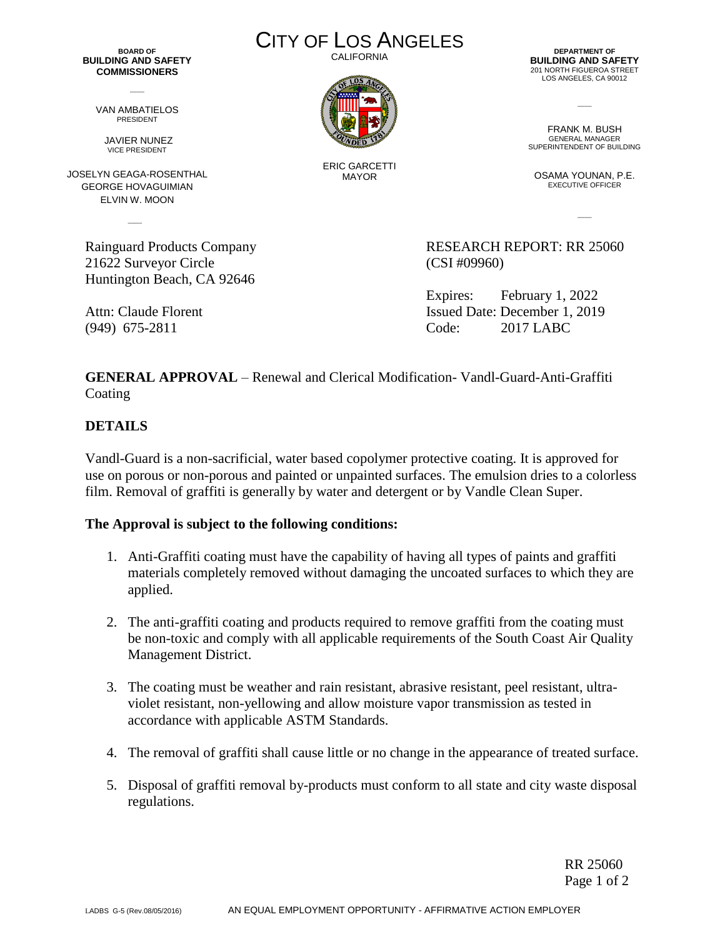**BOARD OF BUILDING AND SAFETY COMMISSIONERS**

 $\overline{\phantom{a}}$ 

VAN AMBATIELOS PRESIDENT

> JAVIER NUNEZ VICE PRESIDENT

JOSELYN GEAGA-ROSENTHAL GEORGE HOVAGUIMIAN ELVIN W. MOON

 $\sim$ 

21622 Surveyor Circle (CSI #09960) Huntington Beach, CA 92646

CITY OF LOS ANGELES

**CALIFORNIA** 



ERIC GARCETTI MAYOR

**DEPARTMENT OF BUILDING AND SAFETY** 201 NORTH FIGUEROA STREET LOS ANGELES, CA 90012

FRANK M. BUSH GENERAL MANAGER SUPERINTENDENT OF BUILDING

 $\overline{\phantom{a}}$ 

OSAMA YOUNAN, P.E. EXECUTIVE OFFICER

 $\overline{\phantom{a}}$ 

Rainguard Products Company **RESEARCH REPORT: RR 25060** 

Expires: February 1, 2022 Attn: Claude Florent Issued Date: December 1, 2019 (949) 675-2811 Code: 2017 LABC

**GENERAL APPROVAL** – Renewal and Clerical Modification- Vandl-Guard-Anti-Graffiti Coating

## **DETAILS**

Vandl-Guard is a non-sacrificial, water based copolymer protective coating. It is approved for use on porous or non-porous and painted or unpainted surfaces. The emulsion dries to a colorless film. Removal of graffiti is generally by water and detergent or by Vandle Clean Super.

## **The Approval is subject to the following conditions:**

- 1. Anti-Graffiti coating must have the capability of having all types of paints and graffiti materials completely removed without damaging the uncoated surfaces to which they are applied.
- 2. The anti-graffiti coating and products required to remove graffiti from the coating must be non-toxic and comply with all applicable requirements of the South Coast Air Quality Management District.
- 3. The coating must be weather and rain resistant, abrasive resistant, peel resistant, ultraviolet resistant, non-yellowing and allow moisture vapor transmission as tested in accordance with applicable ASTM Standards.
- 4. The removal of graffiti shall cause little or no change in the appearance of treated surface.
- 5. Disposal of graffiti removal by-products must conform to all state and city waste disposal regulations.

RR 25060 Page 1 of 2